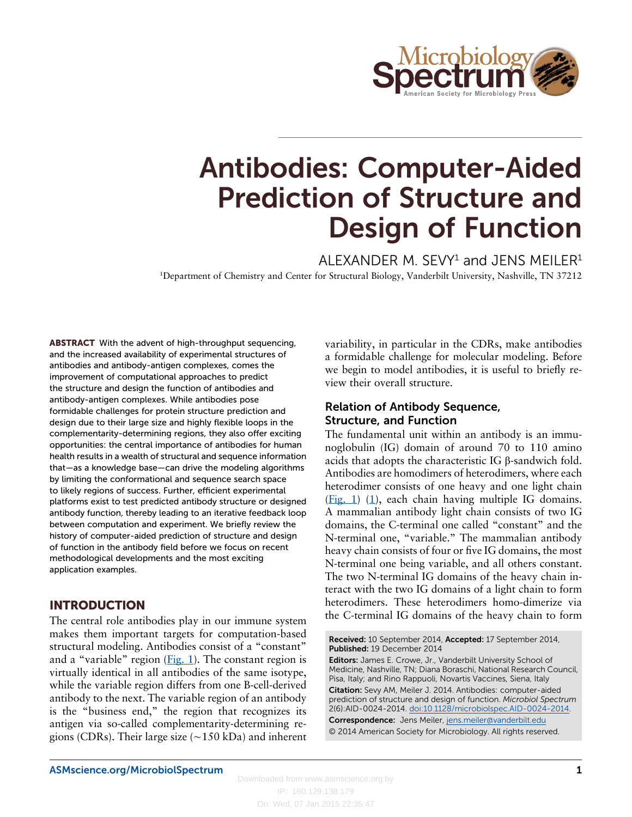

# Antibodies: Computer-Aided Prediction of Structure and Design of Function

ALEXANDER M. SEVY<sup>1</sup> and JENS MEILER<sup>1</sup>

1 Department of Chemistry and Center for Structural Biology, Vanderbilt University, Nashville, TN 37212

ABSTRACT With the advent of high-throughput sequencing, and the increased availability of experimental structures of antibodies and antibody-antigen complexes, comes the improvement of computational approaches to predict the structure and design the function of antibodies and antibody-antigen complexes. While antibodies pose formidable challenges for protein structure prediction and design due to their large size and highly flexible loops in the complementarity-determining regions, they also offer exciting opportunities: the central importance of antibodies for human health results in a wealth of structural and sequence information that—as a knowledge base—can drive the modeling algorithms by limiting the conformational and sequence search space to likely regions of success. Further, efficient experimental platforms exist to test predicted antibody structure or designed antibody function, thereby leading to an iterative feedback loop between computation and experiment. We briefly review the history of computer-aided prediction of structure and design of function in the antibody field before we focus on recent methodological developments and the most exciting application examples.

## INTRODUCTION

The central role antibodies play in our immune system makes them important targets for computation-based structural modeling. Antibodies consist of a "constant" and a "variable" region  $(Fig. 1)$  $(Fig. 1)$ . The constant region is virtually identical in all antibodies of the same isotype, while the variable region differs from one B-cell-derived antibody to the next. The variable region of an antibody is the "business end," the region that recognizes its antigen via so-called complementarity-determining regions (CDRs). Their large size (∼150 kDa) and inherent variability, in particular in the CDRs, make antibodies a formidable challenge for molecular modeling. Before we begin to model antibodies, it is useful to briefly review their overall structure.

#### Relation of Antibody Sequence, Structure, and Function

The fundamental unit within an antibody is an immunoglobulin (IG) domain of around 70 to 110 amino acids that adopts the characteristic IG β-sandwich fold. Antibodies are homodimers of heterodimers, where each heterodimer consists of one heavy and one light chain  $(Fig. 1)$   $(1)$  $(1)$ , each chain having multiple IG domains. A mammalian antibody light chain consists of two IG domains, the C-terminal one called "constant" and the N-terminal one, "variable." The mammalian antibody heavy chain consists of four or five IG domains, the most N-terminal one being variable, and all others constant. The two N-terminal IG domains of the heavy chain interact with the two IG domains of a light chain to form heterodimers. These heterodimers homo-dimerize via the C-terminal IG domains of the heavy chain to form

Received: 10 September 2014, Accepted: 17 September 2014, Published: 19 December 2014 Editors: James E. Crowe, Jr., Vanderbilt University School of Medicine, Nashville, TN; Diana Boraschi, National Research Council, Pisa, Italy; and Rino Rappuoli, Novartis Vaccines, Siena, Italy Citation: Sevy AM, Meiler J. 2014. Antibodies: computer-aided<br>prediction of structure and design of function. Microbiol Spectrum prediction of structure and design of function. Microbiol Spectrum 2(6):AID-0024-2014. [doi:10.1128/microbiolspec.AID-0024-2014.](http://dx.doi.org/10.1128/microbiolspec.AID-0024-2014) Correspondence: Jens Meiler, [jens.meiler@vanderbilt.edu](mailto:jens.meiler@vanderbilt.edu) © 2014 American Society for Microbiology. All rights reserved.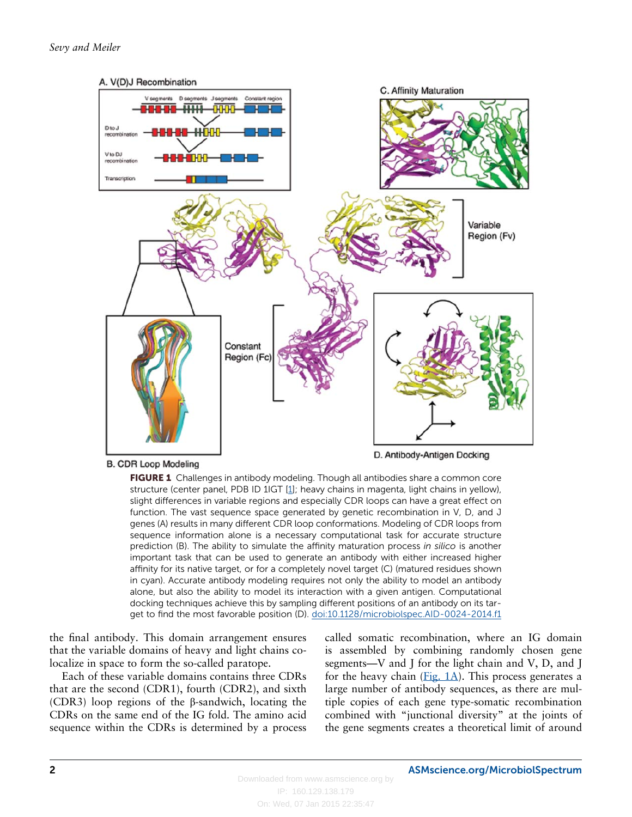<span id="page-1-0"></span>

**B. CDR Loop Modeling** 

D. Antibody-Antigen Docking

FIGURE 1 Challenges in antibody modeling. Though all antibodies share a common core structure (center panel, PDB ID 1IGT [\[1](#page-11-0)]; heavy chains in magenta, light chains in yellow), slight differences in variable regions and especially CDR loops can have a great effect on function. The vast sequence space generated by genetic recombination in V, D, and J genes (A) results in many different CDR loop conformations. Modeling of CDR loops from sequence information alone is a necessary computational task for accurate structure prediction (B). The ability to simulate the affinity maturation process in silico is another important task that can be used to generate an antibody with either increased higher affinity for its native target, or for a completely novel target (C) (matured residues shown in cyan). Accurate antibody modeling requires not only the ability to model an antibody alone, but also the ability to model its interaction with a given antigen. Computational docking techniques achieve this by sampling different positions of an antibody on its target to find the most favorable position (D). [doi:10.1128/microbiolspec.AID-0024-2014.f1](http://dx.doi.org/10.1128/microbiolspec.AID-0024-2014.f1)

the final antibody. This domain arrangement ensures that the variable domains of heavy and light chains colocalize in space to form the so-called paratope.

Each of these variable domains contains three CDRs that are the second (CDR1), fourth (CDR2), and sixth (CDR3) loop regions of the β-sandwich, locating the CDRs on the same end of the IG fold. The amino acid sequence within the CDRs is determined by a process

called somatic recombination, where an IG domain is assembled by combining randomly chosen gene segments—V and J for the light chain and V, D, and J for the heavy chain (Fig. 1A). This process generates a large number of antibody sequences, as there are multiple copies of each gene type-somatic recombination combined with "junctional diversity" at the joints of the gene segments creates a theoretical limit of around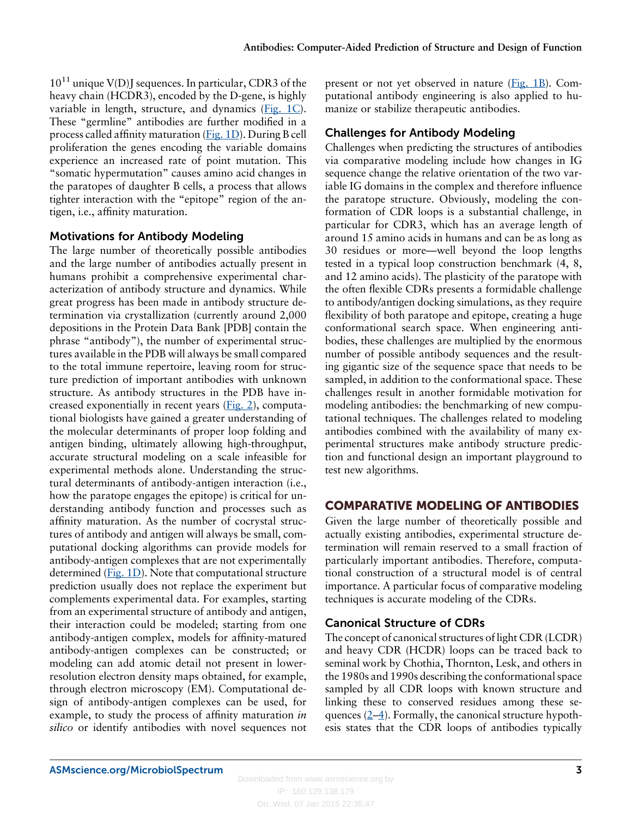$10^{11}$  unique V(D)J sequences. In particular, CDR3 of the heavy chain (HCDR3), encoded by the D-gene, is highly variable in length, structure, and dynamics [\(Fig. 1C\)](#page-1-0). These "germline" antibodies are further modified in a process called affinity maturation ([Fig. 1D](#page-1-0)). During B cell proliferation the genes encoding the variable domains experience an increased rate of point mutation. This "somatic hypermutation" causes amino acid changes in the paratopes of daughter B cells, a process that allows tighter interaction with the "epitope" region of the antigen, i.e., affinity maturation.

## Motivations for Antibody Modeling

The large number of theoretically possible antibodies and the large number of antibodies actually present in humans prohibit a comprehensive experimental characterization of antibody structure and dynamics. While great progress has been made in antibody structure determination via crystallization (currently around 2,000 depositions in the Protein Data Bank [PDB] contain the phrase "antibody"), the number of experimental structures available in the PDB will always be small compared to the total immune repertoire, leaving room for structure prediction of important antibodies with unknown structure. As antibody structures in the PDB have increased exponentially in recent years [\(Fig. 2](#page-3-0)), computational biologists have gained a greater understanding of the molecular determinants of proper loop folding and antigen binding, ultimately allowing high-throughput, accurate structural modeling on a scale infeasible for experimental methods alone. Understanding the structural determinants of antibody-antigen interaction (i.e., how the paratope engages the epitope) is critical for understanding antibody function and processes such as affinity maturation. As the number of cocrystal structures of antibody and antigen will always be small, computational docking algorithms can provide models for antibody-antigen complexes that are not experimentally determined ([Fig. 1D\)](#page-1-0). Note that computational structure prediction usually does not replace the experiment but complements experimental data. For examples, starting from an experimental structure of antibody and antigen, their interaction could be modeled; starting from one antibody-antigen complex, models for affinity-matured antibody-antigen complexes can be constructed; or modeling can add atomic detail not present in lowerresolution electron density maps obtained, for example, through electron microscopy (EM). Computational design of antibody-antigen complexes can be used, for example, to study the process of affinity maturation in silico or identify antibodies with novel sequences not

present or not yet observed in nature [\(Fig. 1B](#page-1-0)). Computational antibody engineering is also applied to humanize or stabilize therapeutic antibodies.

# Challenges for Antibody Modeling

Challenges when predicting the structures of antibodies via comparative modeling include how changes in IG sequence change the relative orientation of the two variable IG domains in the complex and therefore influence the paratope structure. Obviously, modeling the conformation of CDR loops is a substantial challenge, in particular for CDR3, which has an average length of around 15 amino acids in humans and can be as long as 30 residues or more—well beyond the loop lengths tested in a typical loop construction benchmark (4, 8, and 12 amino acids). The plasticity of the paratope with the often flexible CDRs presents a formidable challenge to antibody/antigen docking simulations, as they require flexibility of both paratope and epitope, creating a huge conformational search space. When engineering antibodies, these challenges are multiplied by the enormous number of possible antibody sequences and the resulting gigantic size of the sequence space that needs to be sampled, in addition to the conformational space. These challenges result in another formidable motivation for modeling antibodies: the benchmarking of new computational techniques. The challenges related to modeling antibodies combined with the availability of many experimental structures make antibody structure prediction and functional design an important playground to test new algorithms.

# COMPARATIVE MODELING OF ANTIBODIES

Given the large number of theoretically possible and actually existing antibodies, experimental structure determination will remain reserved to a small fraction of particularly important antibodies. Therefore, computational construction of a structural model is of central importance. A particular focus of comparative modeling techniques is accurate modeling of the CDRs.

# Canonical Structure of CDRs

The concept of canonical structures of light CDR (LCDR) and heavy CDR (HCDR) loops can be traced back to seminal work by Chothia, Thornton, Lesk, and others in the 1980s and 1990s describing the conformational space sampled by all CDR loops with known structure and linking these to conserved residues among these sequences  $(2-4)$  $(2-4)$  $(2-4)$  $(2-4)$  $(2-4)$ . Formally, the canonical structure hypothesis states that the CDR loops of antibodies typically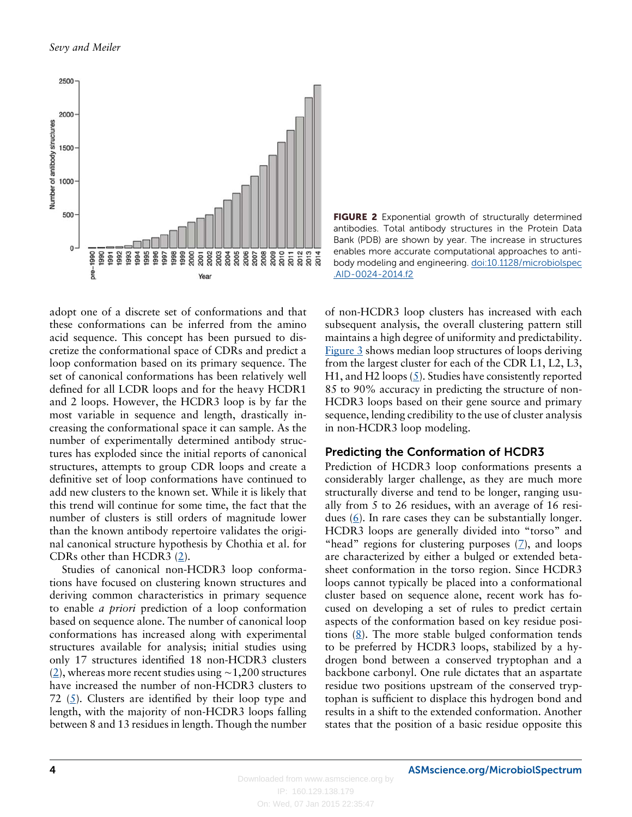<span id="page-3-0"></span>

adopt one of a discrete set of conformations and that these conformations can be inferred from the amino acid sequence. This concept has been pursued to discretize the conformational space of CDRs and predict a loop conformation based on its primary sequence. The set of canonical conformations has been relatively well defined for all LCDR loops and for the heavy HCDR1 and 2 loops. However, the HCDR3 loop is by far the most variable in sequence and length, drastically increasing the conformational space it can sample. As the number of experimentally determined antibody structures has exploded since the initial reports of canonical structures, attempts to group CDR loops and create a definitive set of loop conformations have continued to add new clusters to the known set. While it is likely that this trend will continue for some time, the fact that the number of clusters is still orders of magnitude lower than the known antibody repertoire validates the original canonical structure hypothesis by Chothia et al. for CDRs other than HCDR3 ([2](#page-11-0)).

Studies of canonical non-HCDR3 loop conformations have focused on clustering known structures and deriving common characteristics in primary sequence to enable a priori prediction of a loop conformation based on sequence alone. The number of canonical loop conformations has increased along with experimental structures available for analysis; initial studies using only 17 structures identified 18 non-HCDR3 clusters  $(2)$  $(2)$ , whereas more recent studies using ∼1,200 structures have increased the number of non-HCDR3 clusters to 72 ( $\frac{5}{2}$ ). Clusters are identified by their loop type and length, with the majority of non-HCDR3 loops falling between 8 and 13 residues in length. Though the number



of non-HCDR3 loop clusters has increased with each subsequent analysis, the overall clustering pattern still maintains a high degree of uniformity and predictability. [Figure 3](#page-4-0) shows median loop structures of loops deriving from the largest cluster for each of the CDR L1, L2, L3, H1, and H2 loops  $(5)$  $(5)$ . Studies have consistently reported 85 to 90% accuracy in predicting the structure of non-HCDR3 loops based on their gene source and primary sequence, lending credibility to the use of cluster analysis in non-HCDR3 loop modeling.

#### Predicting the Conformation of HCDR3

Prediction of HCDR3 loop conformations presents a considerably larger challenge, as they are much more structurally diverse and tend to be longer, ranging usually from 5 to 26 residues, with an average of 16 residues  $(6)$ . In rare cases they can be substantially longer. HCDR3 loops are generally divided into "torso" and "head" regions for clustering purposes  $(7)$ , and loops are characterized by either a bulged or extended betasheet conformation in the torso region. Since HCDR3 loops cannot typically be placed into a conformational cluster based on sequence alone, recent work has focused on developing a set of rules to predict certain aspects of the conformation based on key residue positions  $(8)$  $(8)$  $(8)$ . The more stable bulged conformation tends to be preferred by HCDR3 loops, stabilized by a hydrogen bond between a conserved tryptophan and a backbone carbonyl. One rule dictates that an aspartate residue two positions upstream of the conserved tryptophan is sufficient to displace this hydrogen bond and results in a shift to the extended conformation. Another states that the position of a basic residue opposite this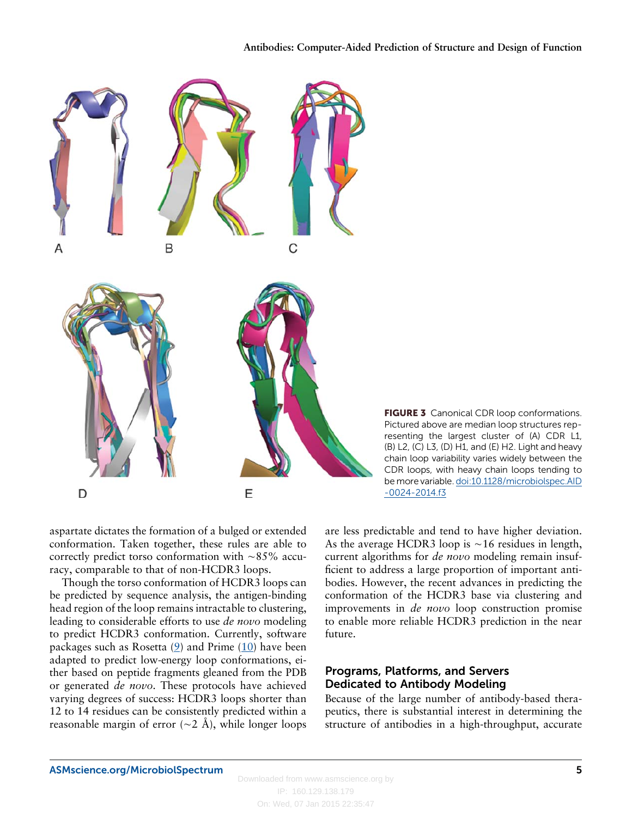<span id="page-4-0"></span>

FIGURE 3 Canonical CDR loop conformations. Pictured above are median loop structures representing the largest cluster of (A) CDR L1, (B) L2, (C) L3, (D) H1, and (E) H2. Light and heavy chain loop variability varies widely between the CDR loops, with heavy chain loops tending to be more variable. [doi:10.1128/microbiolspec.AID](http://dx.doi.org/10.1128/microbiolspec.AID-0024-2014.f3) [-0024-2014.f3](http://dx.doi.org/10.1128/microbiolspec.AID-0024-2014.f3)

aspartate dictates the formation of a bulged or extended conformation. Taken together, these rules are able to correctly predict torso conformation with ∼85% accuracy, comparable to that of non-HCDR3 loops.

Though the torso conformation of HCDR3 loops can be predicted by sequence analysis, the antigen-binding head region of the loop remains intractable to clustering, leading to considerable efforts to use de novo modeling to predict HCDR3 conformation. Currently, software packages such as Rosetta  $(9)$  $(9)$  $(9)$  and Prime  $(10)$  $(10)$  $(10)$  have been adapted to predict low-energy loop conformations, either based on peptide fragments gleaned from the PDB or generated de novo. These protocols have achieved varying degrees of success: HCDR3 loops shorter than 12 to 14 residues can be consistently predicted within a reasonable margin of error (∼2 Å), while longer loops are less predictable and tend to have higher deviation. As the average HCDR3 loop is ∼16 residues in length, current algorithms for de novo modeling remain insufficient to address a large proportion of important antibodies. However, the recent advances in predicting the conformation of the HCDR3 base via clustering and improvements in de novo loop construction promise to enable more reliable HCDR3 prediction in the near future.

#### Programs, Platforms, and Servers Dedicated to Antibody Modeling

Because of the large number of antibody-based therapeutics, there is substantial interest in determining the structure of antibodies in a high-throughput, accurate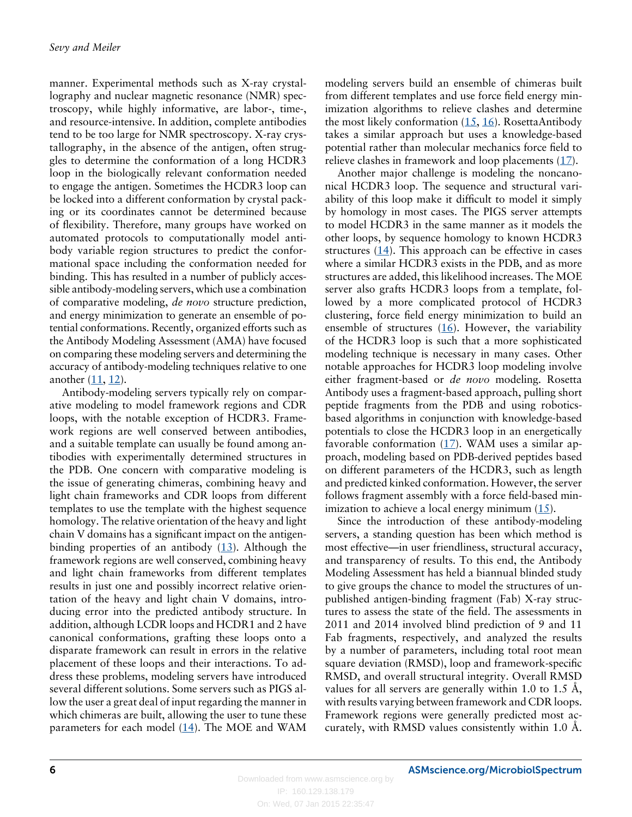manner. Experimental methods such as X-ray crystallography and nuclear magnetic resonance (NMR) spectroscopy, while highly informative, are labor-, time-, and resource-intensive. In addition, complete antibodies tend to be too large for NMR spectroscopy. X-ray crystallography, in the absence of the antigen, often struggles to determine the conformation of a long HCDR3 loop in the biologically relevant conformation needed to engage the antigen. Sometimes the HCDR3 loop can be locked into a different conformation by crystal packing or its coordinates cannot be determined because of flexibility. Therefore, many groups have worked on automated protocols to computationally model antibody variable region structures to predict the conformational space including the conformation needed for binding. This has resulted in a number of publicly accessible antibody-modeling servers, which use a combination of comparative modeling, de novo structure prediction, and energy minimization to generate an ensemble of potential conformations. Recently, organized efforts such as the Antibody Modeling Assessment (AMA) have focused on comparing these modeling servers and determining the accuracy of antibody-modeling techniques relative to one another  $(11, 12)$  $(11, 12)$  $(11, 12)$ .

Antibody-modeling servers typically rely on comparative modeling to model framework regions and CDR loops, with the notable exception of HCDR3. Framework regions are well conserved between antibodies, and a suitable template can usually be found among antibodies with experimentally determined structures in the PDB. One concern with comparative modeling is the issue of generating chimeras, combining heavy and light chain frameworks and CDR loops from different templates to use the template with the highest sequence homology. The relative orientation of the heavy and light chain V domains has a significant impact on the antigenbinding properties of an antibody ([13](#page-11-0)). Although the framework regions are well conserved, combining heavy and light chain frameworks from different templates results in just one and possibly incorrect relative orientation of the heavy and light chain V domains, introducing error into the predicted antibody structure. In addition, although LCDR loops and HCDR1 and 2 have canonical conformations, grafting these loops onto a disparate framework can result in errors in the relative placement of these loops and their interactions. To address these problems, modeling servers have introduced several different solutions. Some servers such as PIGS allow the user a great deal of input regarding the manner in which chimeras are built, allowing the user to tune these parameters for each model  $(14)$  $(14)$  $(14)$ . The MOE and WAM modeling servers build an ensemble of chimeras built from different templates and use force field energy minimization algorithms to relieve clashes and determine the most likely conformation [\(15,](#page-11-0) [16\)](#page-11-0). RosettaAntibody takes a similar approach but uses a knowledge-based potential rather than molecular mechanics force field to relieve clashes in framework and loop placements ([17](#page-11-0)).

Another major challenge is modeling the noncanonical HCDR3 loop. The sequence and structural variability of this loop make it difficult to model it simply by homology in most cases. The PIGS server attempts to model HCDR3 in the same manner as it models the other loops, by sequence homology to known HCDR3 structures ([14](#page-11-0)). This approach can be effective in cases where a similar HCDR3 exists in the PDB, and as more structures are added, this likelihood increases. The MOE server also grafts HCDR3 loops from a template, followed by a more complicated protocol of HCDR3 clustering, force field energy minimization to build an ensemble of structures  $(16)$  $(16)$  $(16)$ . However, the variability of the HCDR3 loop is such that a more sophisticated modeling technique is necessary in many cases. Other notable approaches for HCDR3 loop modeling involve either fragment-based or de novo modeling. Rosetta Antibody uses a fragment-based approach, pulling short peptide fragments from the PDB and using roboticsbased algorithms in conjunction with knowledge-based potentials to close the HCDR3 loop in an energetically favorable conformation  $(17)$  $(17)$  $(17)$ . WAM uses a similar approach, modeling based on PDB-derived peptides based on different parameters of the HCDR3, such as length and predicted kinked conformation. However, the server follows fragment assembly with a force field-based minimization to achieve a local energy minimum [\(15\)](#page-11-0).

Since the introduction of these antibody-modeling servers, a standing question has been which method is most effective—in user friendliness, structural accuracy, and transparency of results. To this end, the Antibody Modeling Assessment has held a biannual blinded study to give groups the chance to model the structures of unpublished antigen-binding fragment (Fab) X-ray structures to assess the state of the field. The assessments in 2011 and 2014 involved blind prediction of 9 and 11 Fab fragments, respectively, and analyzed the results by a number of parameters, including total root mean square deviation (RMSD), loop and framework-specific RMSD, and overall structural integrity. Overall RMSD values for all servers are generally within 1.0 to 1.5 Å, with results varying between framework and CDR loops. Framework regions were generally predicted most accurately, with RMSD values consistently within 1.0 Å.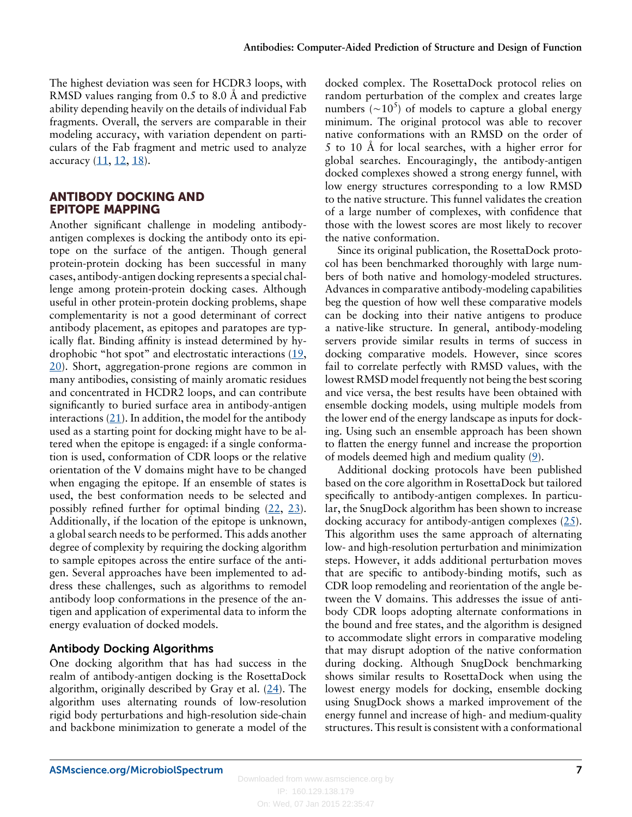The highest deviation was seen for HCDR3 loops, with RMSD values ranging from 0.5 to 8.0 Å and predictive ability depending heavily on the details of individual Fab fragments. Overall, the servers are comparable in their modeling accuracy, with variation dependent on particulars of the Fab fragment and metric used to analyze accuracy  $(11, 12, 18)$  $(11, 12, 18)$  $(11, 12, 18)$  $(11, 12, 18)$  $(11, 12, 18)$ .

#### ANTIBODY DOCKING AND EPITOPE MAPPING

Another significant challenge in modeling antibodyantigen complexes is docking the antibody onto its epitope on the surface of the antigen. Though general protein-protein docking has been successful in many cases, antibody-antigen docking represents a special challenge among protein-protein docking cases. Although useful in other protein-protein docking problems, shape complementarity is not a good determinant of correct antibody placement, as epitopes and paratopes are typically flat. Binding affinity is instead determined by hydrophobic "hot spot" and electrostatic interactions ([19](#page-11-0),  $20$ ). Short, aggregation-prone regions are common in many antibodies, consisting of mainly aromatic residues and concentrated in HCDR2 loops, and can contribute significantly to buried surface area in antibody-antigen interactions  $(21)$ . In addition, the model for the antibody used as a starting point for docking might have to be altered when the epitope is engaged: if a single conformation is used, conformation of CDR loops or the relative orientation of the V domains might have to be changed when engaging the epitope. If an ensemble of states is used, the best conformation needs to be selected and possibly refined further for optimal binding ([22,](#page-12-0) [23\)](#page-12-0). Additionally, if the location of the epitope is unknown, a global search needs to be performed. This adds another degree of complexity by requiring the docking algorithm to sample epitopes across the entire surface of the antigen. Several approaches have been implemented to address these challenges, such as algorithms to remodel antibody loop conformations in the presence of the antigen and application of experimental data to inform the energy evaluation of docked models.

## Antibody Docking Algorithms

One docking algorithm that has had success in the realm of antibody-antigen docking is the RosettaDock algorithm, originally described by Gray et al.  $(24)$  $(24)$  $(24)$ . The algorithm uses alternating rounds of low-resolution rigid body perturbations and high-resolution side-chain and backbone minimization to generate a model of the docked complex. The RosettaDock protocol relies on random perturbation of the complex and creates large numbers  $(\sim 10^5)$  of models to capture a global energy minimum. The original protocol was able to recover native conformations with an RMSD on the order of 5 to 10 Å for local searches, with a higher error for global searches. Encouragingly, the antibody-antigen docked complexes showed a strong energy funnel, with low energy structures corresponding to a low RMSD to the native structure. This funnel validates the creation of a large number of complexes, with confidence that those with the lowest scores are most likely to recover the native conformation.

Since its original publication, the RosettaDock protocol has been benchmarked thoroughly with large numbers of both native and homology-modeled structures. Advances in comparative antibody-modeling capabilities beg the question of how well these comparative models can be docking into their native antigens to produce a native-like structure. In general, antibody-modeling servers provide similar results in terms of success in docking comparative models. However, since scores fail to correlate perfectly with RMSD values, with the lowest RMSD model frequently not being the best scoring and vice versa, the best results have been obtained with ensemble docking models, using multiple models from the lower end of the energy landscape as inputs for docking. Using such an ensemble approach has been shown to flatten the energy funnel and increase the proportion of models deemed high and medium quality [\(9](#page-11-0)).

Additional docking protocols have been published based on the core algorithm in RosettaDock but tailored specifically to antibody-antigen complexes. In particular, the SnugDock algorithm has been shown to increase docking accuracy for antibody-antigen complexes  $(25)$ . This algorithm uses the same approach of alternating low- and high-resolution perturbation and minimization steps. However, it adds additional perturbation moves that are specific to antibody-binding motifs, such as CDR loop remodeling and reorientation of the angle between the V domains. This addresses the issue of antibody CDR loops adopting alternate conformations in the bound and free states, and the algorithm is designed to accommodate slight errors in comparative modeling that may disrupt adoption of the native conformation during docking. Although SnugDock benchmarking shows similar results to RosettaDock when using the lowest energy models for docking, ensemble docking using SnugDock shows a marked improvement of the energy funnel and increase of high- and medium-quality structures. This result is consistent with a conformational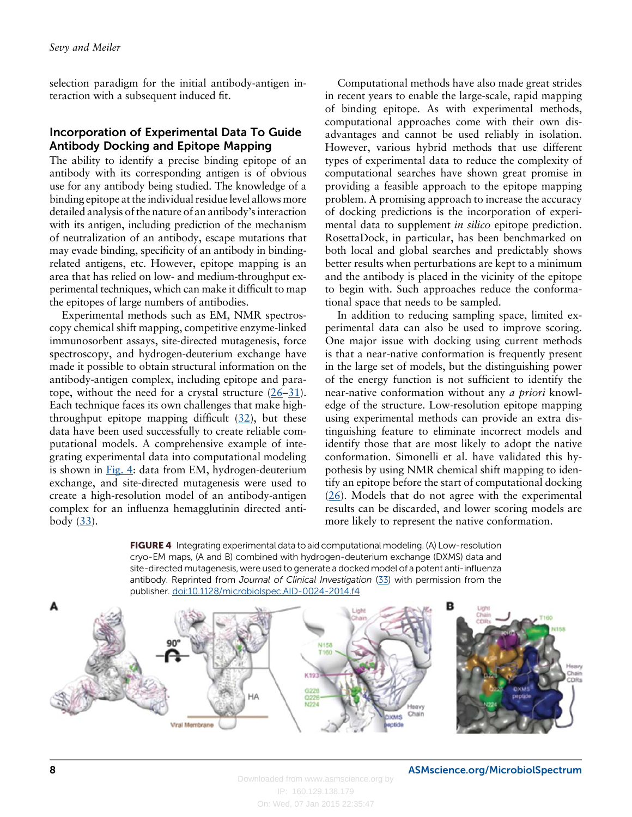selection paradigm for the initial antibody-antigen interaction with a subsequent induced fit.

#### Incorporation of Experimental Data To Guide Antibody Docking and Epitope Mapping

The ability to identify a precise binding epitope of an antibody with its corresponding antigen is of obvious use for any antibody being studied. The knowledge of a binding epitope at the individual residue level allows more detailed analysis of the nature of an antibody's interaction with its antigen, including prediction of the mechanism of neutralization of an antibody, escape mutations that may evade binding, specificity of an antibody in bindingrelated antigens, etc. However, epitope mapping is an area that has relied on low- and medium-throughput experimental techniques, which can make it difficult to map the epitopes of large numbers of antibodies.

Experimental methods such as EM, NMR spectroscopy chemical shift mapping, competitive enzyme-linked immunosorbent assays, site-directed mutagenesis, force spectroscopy, and hydrogen-deuterium exchange have made it possible to obtain structural information on the antibody-antigen complex, including epitope and paratope, without the need for a crystal structure [\(26](#page-12-0)–[31\)](#page-12-0). Each technique faces its own challenges that make highthroughput epitope mapping difficult  $(32)$  $(32)$  $(32)$ , but these data have been used successfully to create reliable computational models. A comprehensive example of integrating experimental data into computational modeling is shown in  $Fig. 4$ : data from EM, hydrogen-deuterium exchange, and site-directed mutagenesis were used to create a high-resolution model of an antibody-antigen complex for an influenza hemagglutinin directed antibody  $(33)$ .

Computational methods have also made great strides in recent years to enable the large-scale, rapid mapping of binding epitope. As with experimental methods, computational approaches come with their own disadvantages and cannot be used reliably in isolation. However, various hybrid methods that use different types of experimental data to reduce the complexity of computational searches have shown great promise in providing a feasible approach to the epitope mapping problem. A promising approach to increase the accuracy of docking predictions is the incorporation of experimental data to supplement *in silico* epitope prediction. RosettaDock, in particular, has been benchmarked on both local and global searches and predictably shows better results when perturbations are kept to a minimum and the antibody is placed in the vicinity of the epitope to begin with. Such approaches reduce the conformational space that needs to be sampled.

In addition to reducing sampling space, limited experimental data can also be used to improve scoring. One major issue with docking using current methods is that a near-native conformation is frequently present in the large set of models, but the distinguishing power of the energy function is not sufficient to identify the near-native conformation without any a priori knowledge of the structure. Low-resolution epitope mapping using experimental methods can provide an extra distinguishing feature to eliminate incorrect models and identify those that are most likely to adopt the native conformation. Simonelli et al. have validated this hypothesis by using NMR chemical shift mapping to identify an epitope before the start of computational docking [\(26\)](#page-12-0). Models that do not agree with the experimental results can be discarded, and lower scoring models are more likely to represent the native conformation.



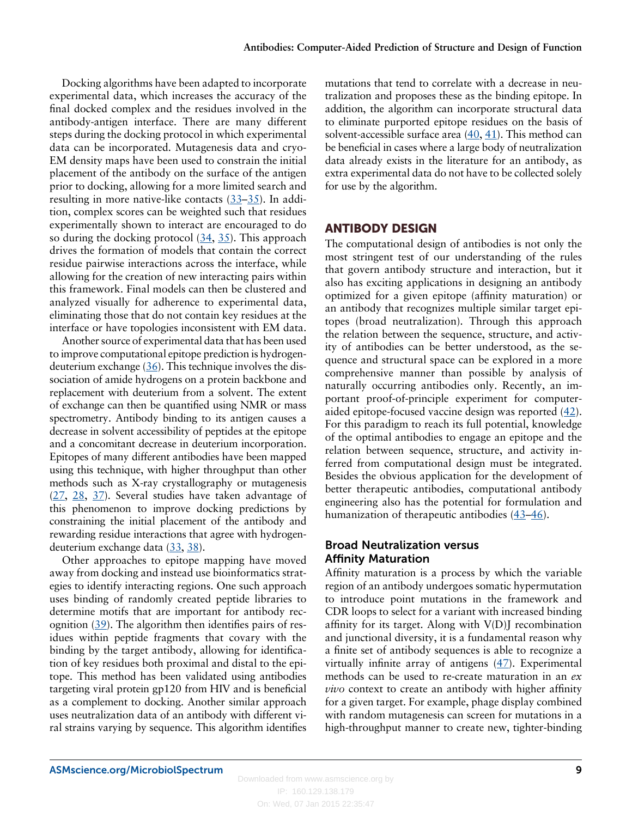Docking algorithms have been adapted to incorporate experimental data, which increases the accuracy of the final docked complex and the residues involved in the antibody-antigen interface. There are many different steps during the docking protocol in which experimental data can be incorporated. Mutagenesis data and cryo-EM density maps have been used to constrain the initial placement of the antibody on the surface of the antigen prior to docking, allowing for a more limited search and resulting in more native-like contacts  $(33-35)$  $(33-35)$  $(33-35)$  $(33-35)$  $(33-35)$ . In addition, complex scores can be weighted such that residues experimentally shown to interact are encouraged to do so during the docking protocol  $(34, 35)$  $(34, 35)$  $(34, 35)$  $(34, 35)$ . This approach drives the formation of models that contain the correct residue pairwise interactions across the interface, while allowing for the creation of new interacting pairs within this framework. Final models can then be clustered and analyzed visually for adherence to experimental data, eliminating those that do not contain key residues at the interface or have topologies inconsistent with EM data.

Another source of experimental data that has been used to improve computational epitope prediction is hydrogendeuterium exchange  $(36)$ . This technique involves the dissociation of amide hydrogens on a protein backbone and replacement with deuterium from a solvent. The extent of exchange can then be quantified using NMR or mass spectrometry. Antibody binding to its antigen causes a decrease in solvent accessibility of peptides at the epitope and a concomitant decrease in deuterium incorporation. Epitopes of many different antibodies have been mapped using this technique, with higher throughput than other methods such as X-ray crystallography or mutagenesis [\(27,](#page-12-0) [28,](#page-12-0) [37](#page-12-0)). Several studies have taken advantage of this phenomenon to improve docking predictions by constraining the initial placement of the antibody and rewarding residue interactions that agree with hydrogendeuterium exchange data [\(33,](#page-12-0) [38\)](#page-12-0).

Other approaches to epitope mapping have moved away from docking and instead use bioinformatics strategies to identify interacting regions. One such approach uses binding of randomly created peptide libraries to determine motifs that are important for antibody recognition  $(39)$  $(39)$  $(39)$ . The algorithm then identifies pairs of residues within peptide fragments that covary with the binding by the target antibody, allowing for identification of key residues both proximal and distal to the epitope. This method has been validated using antibodies targeting viral protein gp120 from HIV and is beneficial as a complement to docking. Another similar approach uses neutralization data of an antibody with different viral strains varying by sequence. This algorithm identifies mutations that tend to correlate with a decrease in neutralization and proposes these as the binding epitope. In addition, the algorithm can incorporate structural data to eliminate purported epitope residues on the basis of solvent-accessible surface area  $(40, 41)$  $(40, 41)$  $(40, 41)$  $(40, 41)$ . This method can be beneficial in cases where a large body of neutralization data already exists in the literature for an antibody, as extra experimental data do not have to be collected solely for use by the algorithm.

## ANTIBODY DESIGN

The computational design of antibodies is not only the most stringent test of our understanding of the rules that govern antibody structure and interaction, but it also has exciting applications in designing an antibody optimized for a given epitope (affinity maturation) or an antibody that recognizes multiple similar target epitopes (broad neutralization). Through this approach the relation between the sequence, structure, and activity of antibodies can be better understood, as the sequence and structural space can be explored in a more comprehensive manner than possible by analysis of naturally occurring antibodies only. Recently, an important proof-of-principle experiment for computeraided epitope-focused vaccine design was reported [\(42\)](#page-12-0). For this paradigm to reach its full potential, knowledge of the optimal antibodies to engage an epitope and the relation between sequence, structure, and activity inferred from computational design must be integrated. Besides the obvious application for the development of better therapeutic antibodies, computational antibody engineering also has the potential for formulation and humanization of therapeutic antibodies  $(43-46)$  $(43-46)$  $(43-46)$  $(43-46)$  $(43-46)$ .

#### Broad Neutralization versus Affinity Maturation

Affinity maturation is a process by which the variable region of an antibody undergoes somatic hypermutation to introduce point mutations in the framework and CDR loops to select for a variant with increased binding affinity for its target. Along with V(D)J recombination and junctional diversity, it is a fundamental reason why a finite set of antibody sequences is able to recognize a virtually infinite array of antigens  $(47)$  $(47)$ . Experimental methods can be used to re-create maturation in an ex vivo context to create an antibody with higher affinity for a given target. For example, phage display combined with random mutagenesis can screen for mutations in a high-throughput manner to create new, tighter-binding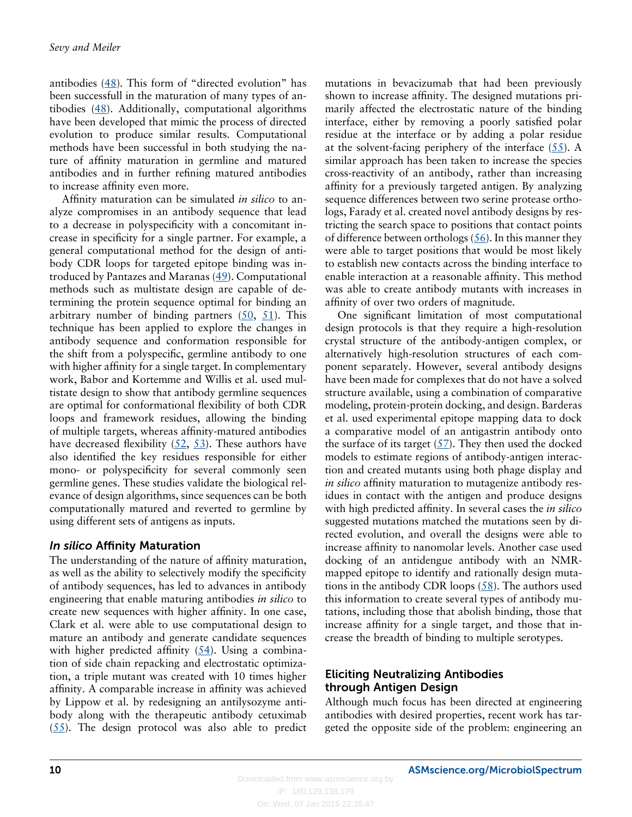antibodies [\(48\)](#page-12-0). This form of "directed evolution" has been successfull in the maturation of many types of antibodies  $(48)$  $(48)$  $(48)$ . Additionally, computational algorithms have been developed that mimic the process of directed evolution to produce similar results. Computational methods have been successful in both studying the nature of affinity maturation in germline and matured antibodies and in further refining matured antibodies to increase affinity even more.

Affinity maturation can be simulated *in silico* to analyze compromises in an antibody sequence that lead to a decrease in polyspecificity with a concomitant increase in specificity for a single partner. For example, a general computational method for the design of antibody CDR loops for targeted epitope binding was introduced by Pantazes and Maranas ([49\)](#page-12-0). Computational methods such as multistate design are capable of determining the protein sequence optimal for binding an arbitrary number of binding partners  $(50, 51)$  $(50, 51)$  $(50, 51)$ . This technique has been applied to explore the changes in antibody sequence and conformation responsible for the shift from a polyspecific, germline antibody to one with higher affinity for a single target. In complementary work, Babor and Kortemme and Willis et al. used multistate design to show that antibody germline sequences are optimal for conformational flexibility of both CDR loops and framework residues, allowing the binding of multiple targets, whereas affinity-matured antibodies have decreased flexibility  $(52, 53)$  $(52, 53)$  $(52, 53)$  $(52, 53)$ . These authors have also identified the key residues responsible for either mono- or polyspecificity for several commonly seen germline genes. These studies validate the biological relevance of design algorithms, since sequences can be both computationally matured and reverted to germline by using different sets of antigens as inputs.

#### In silico Affinity Maturation

The understanding of the nature of affinity maturation, as well as the ability to selectively modify the specificity of antibody sequences, has led to advances in antibody engineering that enable maturing antibodies *in silico* to create new sequences with higher affinity. In one case, Clark et al. were able to use computational design to mature an antibody and generate candidate sequences with higher predicted affinity  $(54)$ . Using a combination of side chain repacking and electrostatic optimization, a triple mutant was created with 10 times higher affinity. A comparable increase in affinity was achieved by Lippow et al. by redesigning an antilysozyme antibody along with the therapeutic antibody cetuximab  $(55)$ . The design protocol was also able to predict mutations in bevacizumab that had been previously shown to increase affinity. The designed mutations primarily affected the electrostatic nature of the binding interface, either by removing a poorly satisfied polar residue at the interface or by adding a polar residue at the solvent-facing periphery of the interface  $(55)$  $(55)$  $(55)$ . A similar approach has been taken to increase the species cross-reactivity of an antibody, rather than increasing affinity for a previously targeted antigen. By analyzing sequence differences between two serine protease orthologs, Farady et al. created novel antibody designs by restricting the search space to positions that contact points of difference between orthologs  $(56)$ . In this manner they were able to target positions that would be most likely to establish new contacts across the binding interface to enable interaction at a reasonable affinity. This method was able to create antibody mutants with increases in affinity of over two orders of magnitude.

One significant limitation of most computational design protocols is that they require a high-resolution crystal structure of the antibody-antigen complex, or alternatively high-resolution structures of each component separately. However, several antibody designs have been made for complexes that do not have a solved structure available, using a combination of comparative modeling, protein-protein docking, and design. Barderas et al. used experimental epitope mapping data to dock a comparative model of an antigastrin antibody onto the surface of its target  $(57)$  $(57)$ . They then used the docked models to estimate regions of antibody-antigen interaction and created mutants using both phage display and in silico affinity maturation to mutagenize antibody residues in contact with the antigen and produce designs with high predicted affinity. In several cases the *in silico* suggested mutations matched the mutations seen by directed evolution, and overall the designs were able to increase affinity to nanomolar levels. Another case used docking of an antidengue antibody with an NMRmapped epitope to identify and rationally design mutations in the antibody CDR loops [\(58\)](#page-13-0). The authors used this information to create several types of antibody mutations, including those that abolish binding, those that increase affinity for a single target, and those that increase the breadth of binding to multiple serotypes.

#### Eliciting Neutralizing Antibodies through Antigen Design

Although much focus has been directed at engineering antibodies with desired properties, recent work has targeted the opposite side of the problem: engineering an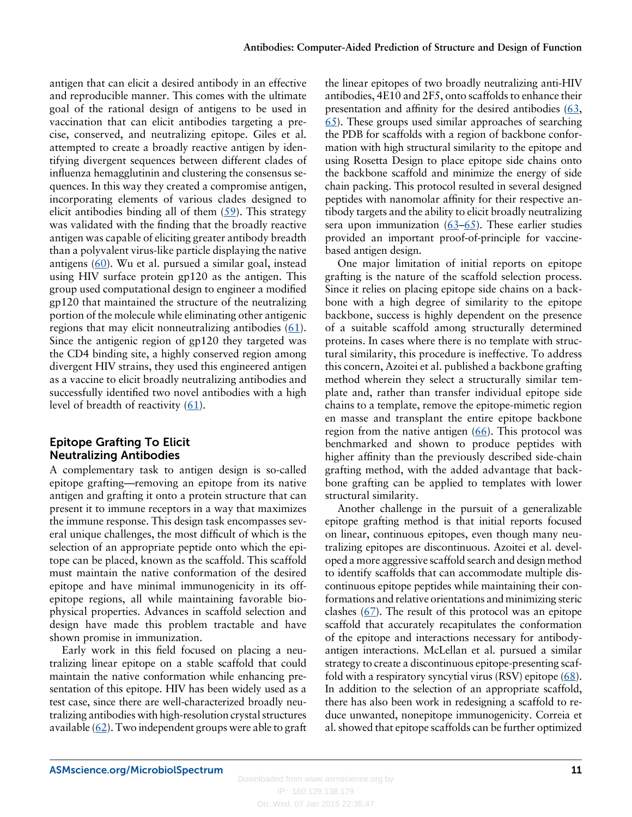antigen that can elicit a desired antibody in an effective and reproducible manner. This comes with the ultimate goal of the rational design of antigens to be used in vaccination that can elicit antibodies targeting a precise, conserved, and neutralizing epitope. Giles et al. attempted to create a broadly reactive antigen by identifying divergent sequences between different clades of influenza hemagglutinin and clustering the consensus sequences. In this way they created a compromise antigen, incorporating elements of various clades designed to elicit antibodies binding all of them  $(59)$ . This strategy was validated with the finding that the broadly reactive antigen was capable of eliciting greater antibody breadth than a polyvalent virus-like particle displaying the native antigens  $(60)$  $(60)$  $(60)$ . Wu et al. pursued a similar goal, instead using HIV surface protein gp120 as the antigen. This group used computational design to engineer a modified gp120 that maintained the structure of the neutralizing portion of the molecule while eliminating other antigenic regions that may elicit nonneutralizing antibodies  $(61)$ . Since the antigenic region of gp120 they targeted was the CD4 binding site, a highly conserved region among divergent HIV strains, they used this engineered antigen as a vaccine to elicit broadly neutralizing antibodies and successfully identified two novel antibodies with a high level of breadth of reactivity  $(61)$  $(61)$  $(61)$ .

## Epitope Grafting To Elicit Neutralizing Antibodies

A complementary task to antigen design is so-called epitope grafting—removing an epitope from its native antigen and grafting it onto a protein structure that can present it to immune receptors in a way that maximizes the immune response. This design task encompasses several unique challenges, the most difficult of which is the selection of an appropriate peptide onto which the epitope can be placed, known as the scaffold. This scaffold must maintain the native conformation of the desired epitope and have minimal immunogenicity in its offepitope regions, all while maintaining favorable biophysical properties. Advances in scaffold selection and design have made this problem tractable and have shown promise in immunization.

Early work in this field focused on placing a neutralizing linear epitope on a stable scaffold that could maintain the native conformation while enhancing presentation of this epitope. HIV has been widely used as a test case, since there are well-characterized broadly neutralizing antibodies with high-resolution crystal structures available  $(62)$ . Two independent groups were able to graft the linear epitopes of two broadly neutralizing anti-HIV antibodies, 4E10 and 2F5, onto scaffolds to enhance their presentation and affinity for the desired antibodies ([63](#page-13-0), [65](#page-13-0)). These groups used similar approaches of searching the PDB for scaffolds with a region of backbone conformation with high structural similarity to the epitope and using Rosetta Design to place epitope side chains onto the backbone scaffold and minimize the energy of side chain packing. This protocol resulted in several designed peptides with nanomolar affinity for their respective antibody targets and the ability to elicit broadly neutralizing sera upon immunization  $(63-65)$  $(63-65)$  $(63-65)$  $(63-65)$ . These earlier studies provided an important proof-of-principle for vaccinebased antigen design.

One major limitation of initial reports on epitope grafting is the nature of the scaffold selection process. Since it relies on placing epitope side chains on a backbone with a high degree of similarity to the epitope backbone, success is highly dependent on the presence of a suitable scaffold among structurally determined proteins. In cases where there is no template with structural similarity, this procedure is ineffective. To address this concern, Azoitei et al. published a backbone grafting method wherein they select a structurally similar template and, rather than transfer individual epitope side chains to a template, remove the epitope-mimetic region en masse and transplant the entire epitope backbone region from the native antigen  $(66)$ . This protocol was benchmarked and shown to produce peptides with higher affinity than the previously described side-chain grafting method, with the added advantage that backbone grafting can be applied to templates with lower structural similarity.

Another challenge in the pursuit of a generalizable epitope grafting method is that initial reports focused on linear, continuous epitopes, even though many neutralizing epitopes are discontinuous. Azoitei et al. developed a more aggressive scaffold search and design method to identify scaffolds that can accommodate multiple discontinuous epitope peptides while maintaining their conformations and relative orientations and minimizing steric clashes ([67](#page-13-0)). The result of this protocol was an epitope scaffold that accurately recapitulates the conformation of the epitope and interactions necessary for antibodyantigen interactions. McLellan et al. pursued a similar strategy to create a discontinuous epitope-presenting scaffold with a respiratory syncytial virus (RSV) epitope [\(68\)](#page-13-0). In addition to the selection of an appropriate scaffold, there has also been work in redesigning a scaffold to reduce unwanted, nonepitope immunogenicity. Correia et al. showed that epitope scaffolds can be further optimized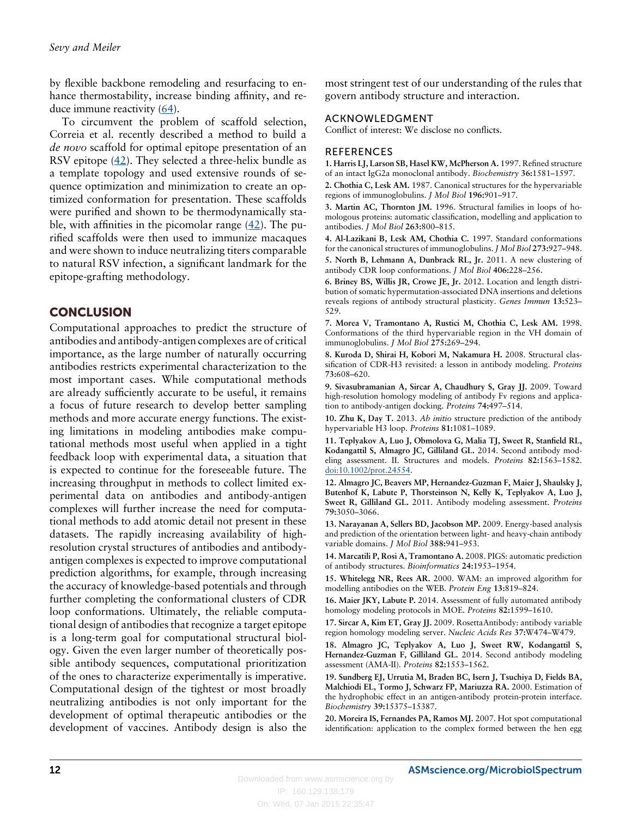<span id="page-11-0"></span>by flexible backbone remodeling and resurfacing to enhance thermostability, increase binding affinity, and reduce immune reactivity ([64\)](#page-13-0).

To circumvent the problem of scaffold selection, Correia et al. recently described a method to build a de novo scaffold for optimal epitope presentation of an RSV epitope ([42](#page-12-0)). They selected a three-helix bundle as a template topology and used extensive rounds of sequence optimization and minimization to create an optimized conformation for presentation. These scaffolds were purified and shown to be thermodynamically stable, with affinities in the picomolar range  $(42)$  $(42)$  $(42)$ . The purified scaffolds were then used to immunize macaques and were shown to induce neutralizing titers comparable to natural RSV infection, a significant landmark for the epitope-grafting methodology.

## **CONCLUSION**

Computational approaches to predict the structure of antibodies and antibody-antigen complexes are of critical importance, as the large number of naturally occurring antibodies restricts experimental characterization to the most important cases. While computational methods are already sufficiently accurate to be useful, it remains a focus of future research to develop better sampling methods and more accurate energy functions. The existing limitations in modeling antibodies make computational methods most useful when applied in a tight feedback loop with experimental data, a situation that is expected to continue for the foreseeable future. The increasing throughput in methods to collect limited experimental data on antibodies and antibody-antigen complexes will further increase the need for computational methods to add atomic detail not present in these datasets. The rapidly increasing availability of highresolution crystal structures of antibodies and antibodyantigen complexes is expected to improve computational prediction algorithms, for example, through increasing the accuracy of knowledge-based potentials and through further completing the conformational clusters of CDR loop conformations. Ultimately, the reliable computational design of antibodies that recognize a target epitope is a long-term goal for computational structural biology. Given the even larger number of theoretically possible antibody sequences, computational prioritization of the ones to characterize experimentally is imperative. Computational design of the tightest or most broadly neutralizing antibodies is not only important for the development of optimal therapeutic antibodies or the development of vaccines. Antibody design is also the

most stringent test of our understanding of the rules that govern antibody structure and interaction.

#### ACKNOWLEDGMENT

Conflict of interest: We disclose no conflicts.

#### **REFERENCES**

1. Harris LJ, Larson SB, Hasel KW, McPherson A. 1997. Refined structure of an intact IgG2a monoclonal antibody. Biochemistry 36:1581–1597.

2. Chothia C, Lesk AM. 1987. Canonical structures for the hypervariable regions of immunoglobulins. J Mol Biol 196:901–917.

3. Martin AC, Thornton JM. 1996. Structural families in loops of homologous proteins: automatic classification, modelling and application to antibodies. J Mol Biol 263:800–815.

4. Al-Lazikani B, Lesk AM, Chothia C. 1997. Standard conformations for the canonical structures of immunoglobulins. J Mol Biol 273:927–948. 5. North B, Lehmann A, Dunbrack RL, Jr. 2011. A new clustering of

antibody CDR loop conformations. J Mol Biol 406:228–256.

6. Briney BS, Willis JR, Crowe JE, Jr. 2012. Location and length distribution of somatic hypermutation-associated DNA insertions and deletions reveals regions of antibody structural plasticity. Genes Immun 13:523– 529.

7. Morea V, Tramontano A, Rustici M, Chothia C, Lesk AM. 1998. Conformations of the third hypervariable region in the VH domain of immunoglobulins. J Mol Biol 275:269–294.

8. Kuroda D, Shirai H, Kobori M, Nakamura H. 2008. Structural classification of CDR-H3 revisited: a lesson in antibody modeling. Proteins 73:608–620.

9. Sivasubramanian A, Sircar A, Chaudhury S, Gray JJ. 2009. Toward high-resolution homology modeling of antibody Fv regions and application to antibody-antigen docking. Proteins 74:497–514.

10. Zhu K, Day T. 2013. Ab initio structure prediction of the antibody hypervariable H3 loop. Proteins 81:1081–1089.

11. Teplyakov A, Luo J, Obmolova G, Malia TJ, Sweet R, Stanfield RL, Kodangattil S, Almagro JC, Gilliland GL. 2014. Second antibody modeling assessment. II. Structures and models. Proteins 82:1563–1582. [doi:10.1002/prot.24554](http://dx.doi.org/10.1002/prot.24554).

12. Almagro JC, Beavers MP, Hernandez-Guzman F, Maier J, Shaulsky J, Butenhof K, Labute P, Thorsteinson N, Kelly K, Teplyakov A, Luo J, Sweet R, Gilliland GL. 2011. Antibody modeling assessment. Proteins 79:3050–3066.

13. Narayanan A, Sellers BD, Jacobson MP. 2009. Energy-based analysis and prediction of the orientation between light- and heavy-chain antibody variable domains. J Mol Biol 388:941–953.

14. Marcatili P, Rosi A, Tramontano A. 2008. PIGS: automatic prediction of antibody structures. Bioinformatics 24:1953–1954.

15. Whitelegg NR, Rees AR. 2000. WAM: an improved algorithm for modelling antibodies on the WEB. Protein Eng 13:819–824.

16. Maier JKY, Labute P. 2014. Assessment of fully automated antibody homology modeling protocols in MOE. Proteins 82:1599–1610.

17. Sircar A, Kim ET, Gray JJ. 2009. RosettaAntibody: antibody variable region homology modeling server. Nucleic Acids Res 37:W474–W479.

18. Almagro JC, Teplyakov A, Luo J, Sweet RW, Kodangattil S, Hernandez-Guzman F, Gilliland GL. 2014. Second antibody modeling assessment (AMA-II). Proteins 82:1553–1562.

19. Sundberg EJ, Urrutia M, Braden BC, Isern J, Tsuchiya D, Fields BA, Malchiodi EL, Tormo J, Schwarz FP, Mariuzza RA. 2000. Estimation of the hydrophobic effect in an antigen-antibody protein-protein interface. Biochemistry 39:15375–15387.

20. Moreira IS, Fernandes PA, Ramos MJ. 2007. Hot spot computational identification: application to the complex formed between the hen egg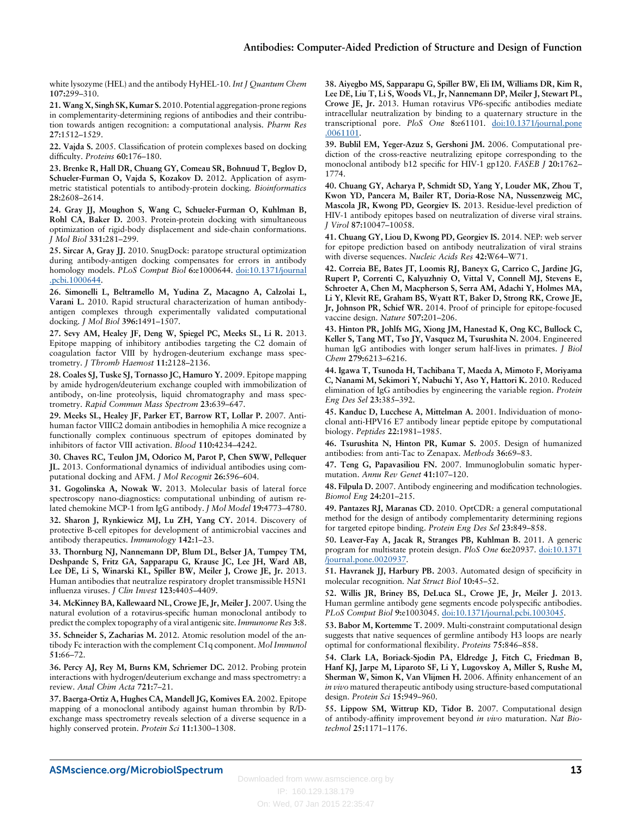<span id="page-12-0"></span>white lysozyme (HEL) and the antibody HyHEL-10. Int J Quantum Chem 107:299–310.

21. Wang X, Singh SK, Kumar S. 2010. Potential aggregation-prone regions in complementarity-determining regions of antibodies and their contribution towards antigen recognition: a computational analysis. Pharm Res 27:1512–1529.

22. Vajda S. 2005. Classification of protein complexes based on docking difficulty. Proteins 60:176–180.

23. Brenke R, Hall DR, Chuang GY, Comeau SR, Bohnuud T, Beglov D, Schueler-Furman O, Vajda S, Kozakov D. 2012. Application of asymmetric statistical potentials to antibody-protein docking. Bioinformatics 28:2608–2614.

24. Gray JJ, Moughon S, Wang C, Schueler-Furman O, Kuhlman B, Rohl CA, Baker D. 2003. Protein-protein docking with simultaneous optimization of rigid-body displacement and side-chain conformations. J Mol Biol 331:281–299.

25. Sircar A, Gray JJ. 2010. SnugDock: paratope structural optimization during antibody-antigen docking compensates for errors in antibody homology models. PLoS Comput Biol 6:e1000644. [doi:10.1371/journal](http://dx.doi.org/10.1371/journal.pcbi.1000644) [.pcbi.1000644.](http://dx.doi.org/10.1371/journal.pcbi.1000644)

26. Simonelli L, Beltramello M, Yudina Z, Macagno A, Calzolai L, Varani L. 2010. Rapid structural characterization of human antibodyantigen complexes through experimentally validated computational docking. J Mol Biol 396:1491–1507.

27. Sevy AM, Healey JF, Deng W, Spiegel PC, Meeks SL, Li R. 2013. Epitope mapping of inhibitory antibodies targeting the C2 domain of coagulation factor VIII by hydrogen-deuterium exchange mass spectrometry. J Thromb Haemost 11:2128–2136.

28. Coales SJ, Tuske SJ, Tornasso JC, Hamuro Y. 2009. Epitope mapping by amide hydrogen/deuterium exchange coupled with immobilization of antibody, on-line proteolysis, liquid chromatography and mass spectrometry. Rapid Commun Mass Spectrom 23:639–647.

29. Meeks SL, Healey JF, Parker ET, Barrow RT, Lollar P. 2007. Antihuman factor VIIIC2 domain antibodies in hemophilia A mice recognize a functionally complex continuous spectrum of epitopes dominated by inhibitors of factor VIII activation. Blood 110:4234–4242.

30. Chaves RC, Teulon JM, Odorico M, Parot P, Chen SWW, Pellequer JL. 2013. Conformational dynamics of individual antibodies using computational docking and AFM. J Mol Recognit 26:596–604.

31. Gogolinska A, Nowak W. 2013. Molecular basis of lateral force spectroscopy nano-diagnostics: computational unbinding of autism related chemokine MCP-1 from IgG antibody. J Mol Model 19:4773–4780.

32. Sharon J, Rynkiewicz MJ, Lu ZH, Yang CY. 2014. Discovery of protective B-cell epitopes for development of antimicrobial vaccines and antibody therapeutics. Immunology 142:1–23.

33. Thornburg NJ, Nannemann DP, Blum DL, Belser JA, Tumpey TM, Deshpande S, Fritz GA, Sapparapu G, Krause JC, Lee JH, Ward AB, Lee DE, Li S, Winarski KL, Spiller BW, Meiler J, Crowe JE, Jr. 2013. Human antibodies that neutralize respiratory droplet transmissible H5N1 influenza viruses. J Clin Invest 123:4405–4409.

34. McKinney BA, Kallewaard NL, Crowe JE, Jr, Meiler J. 2007. Using the natural evolution of a rotavirus-specific human monoclonal antibody to predict the complex topography of a viral antigenic site. Immunome Res 3:8.

35. Schneider S, Zacharias M. 2012. Atomic resolution model of the antibody Fc interaction with the complement C1q component. Mol Immunol 51:66–72.

36. Percy AJ, Rey M, Burns KM, Schriemer DC. 2012. Probing protein interactions with hydrogen/deuterium exchange and mass spectrometry: a review. Anal Chim Acta 721:7–21.

37. Baerga-Ortiz A, Hughes CA, Mandell JG, Komives EA. 2002. Epitope mapping of a monoclonal antibody against human thrombin by R/Dexchange mass spectrometry reveals selection of a diverse sequence in a highly conserved protein. Protein Sci 11:1300-1308.

38. Aiyegbo MS, Sapparapu G, Spiller BW, Eli IM, Williams DR, Kim R, Lee DE, Liu T, Li S, Woods VL, Jr, Nannemann DP, Meiler J, Stewart PL, Crowe JE, Jr. 2013. Human rotavirus VP6-specific antibodies mediate intracellular neutralization by binding to a quaternary structure in the transcriptional pore. PloS One 8:e61101. [doi:10.1371/journal.pone](http://dx.doi.org/10.1371/journal.pone.0061101) [.0061101.](http://dx.doi.org/10.1371/journal.pone.0061101)

39. Bublil EM, Yeger-Azuz S, Gershoni JM. 2006. Computational prediction of the cross-reactive neutralizing epitope corresponding to the monoclonal antibody b12 specific for HIV-1 gp120. FASEB J 20:1762– 1774.

40. Chuang GY, Acharya P, Schmidt SD, Yang Y, Louder MK, Zhou T, Kwon YD, Pancera M, Bailer RT, Doria-Rose NA, Nussenzweig MC, Mascola JR, Kwong PD, Georgiev IS. 2013. Residue-level prediction of HIV-1 antibody epitopes based on neutralization of diverse viral strains. J Virol 87:10047–10058.

41. Chuang GY, Liou D, Kwong PD, Georgiev IS. 2014. NEP: web server for epitope prediction based on antibody neutralization of viral strains with diverse sequences. Nucleic Acids Res 42:W64–W71.

42. Correia BE, Bates JT, Loomis RJ, Baneyx G, Carrico C, Jardine JG, Rupert P, Correnti C, Kalyuzhniy O, Vittal V, Connell MJ, Stevens E, Schroeter A, Chen M, Macpherson S, Serra AM, Adachi Y, Holmes MA, Li Y, Klevit RE, Graham BS, Wyatt RT, Baker D, Strong RK, Crowe JE, Jr, Johnson PR, Schief WR. 2014. Proof of principle for epitope-focused vaccine design. Nature 507:201–206.

43. Hinton PR, Johlfs MG, Xiong JM, Hanestad K, Ong KC, Bullock C, Keller S, Tang MT, Tso JY, Vasquez M, Tsurushita N. 2004. Engineered human IgG antibodies with longer serum half-lives in primates. J Biol Chem 279:6213–6216.

44. Igawa T, Tsunoda H, Tachibana T, Maeda A, Mimoto F, Moriyama C, Nanami M, Sekimori Y, Nabuchi Y, Aso Y, Hattori K. 2010. Reduced elimination of IgG antibodies by engineering the variable region. Protein Eng Des Sel 23:385–392.

45. Kanduc D, Lucchese A, Mittelman A. 2001. Individuation of monoclonal anti-HPV16 E7 antibody linear peptide epitope by computational biology. Peptides 22:1981–1985.

46. Tsurushita N, Hinton PR, Kumar S. 2005. Design of humanized antibodies: from anti-Tac to Zenapax. Methods 36:69–83.

47. Teng G, Papavasiliou FN. 2007. Immunoglobulin somatic hypermutation. Annu Rev Genet 41:107–120.

48. Filpula D. 2007. Antibody engineering and modification technologies. Biomol Eng 24:201–215.

49. Pantazes RJ, Maranas CD. 2010. OptCDR: a general computational method for the design of antibody complementarity determining regions for targeted epitope binding. Protein Eng Des Sel 23:849–858.

50. Leaver-Fay A, Jacak R, Stranges PB, Kuhlman B. 2011. A generic program for multistate protein design. PloS One 6:e20937. [doi:10.1371](http://dx.doi.org/10.1371/journal.pone.0020937) [/journal.pone.0020937.](http://dx.doi.org/10.1371/journal.pone.0020937)

51. Havranek JJ, Harbury PB. 2003. Automated design of specificity in molecular recognition. Nat Struct Biol 10:45–52.

52. Willis JR, Briney BS, DeLuca SL, Crowe JE, Jr, Meiler J. 2013. Human germline antibody gene segments encode polyspecific antibodies. PLoS Comput Biol 9:e1003045. [doi:10.1371/journal.pcbi.1003045](http://dx.doi.org/10.1371/journal.pcbi.1003045).

53. Babor M, Kortemme T. 2009. Multi-constraint computational design suggests that native sequences of germline antibody H3 loops are nearly optimal for conformational flexibility. Proteins 75:846–858.

54. Clark LA, Boriack-Sjodin PA, Eldredge J, Fitch C, Friedman B, Hanf KJ, Jarpe M, Liparoto SF, Li Y, Lugovskoy A, Miller S, Rushe M, Sherman W, Simon K, Van Vlijmen H. 2006. Affinity enhancement of an in vivo matured therapeutic antibody using structure-based computational design. Protein Sci 15:949–960.

55. Lippow SM, Wittrup KD, Tidor B. 2007. Computational design of antibody-affinity improvement beyond in vivo maturation. Nat Biotechnol 25:1171–1176.